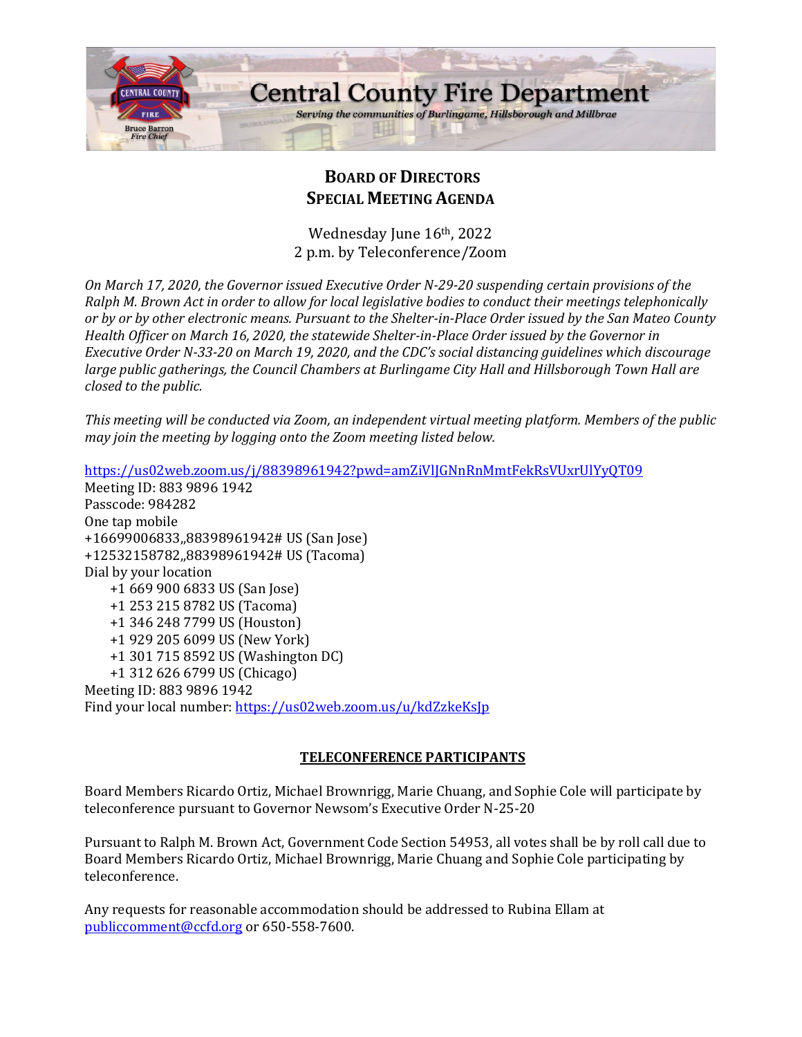

# **BOARD OF DIRECTORS SPECIAL MEETING AGENDA**

Wednesday June 16th, 2022 2 p.m. by Teleconference/Zoom

*On March 17, 2020, the Governor issued Executive Order N-29-20 suspending certain provisions of the Ralph M. Brown Act in order to allow for local legislative bodies to conduct their meetings telephonically or by or by other electronic means. Pursuant to the Shelter-in-Place Order issued by the San Mateo County Health Officer on March 16, 2020, the statewide Shelter-in-Place Order issued by the Governor in Executive Order N-33-20 on March 19, 2020, and the CDC's social distancing guidelines which discourage large public gatherings, the Council Chambers at Burlingame City Hall and Hillsborough Town Hall are closed to the public.*

*This meeting will be conducted via Zoom, an independent virtual meeting platform. Members of the public may join the meeting by logging onto the Zoom meeting listed below.* 

<https://us02web.zoom.us/j/88398961942?pwd=amZiVlJGNnRnMmtFekRsVUxrUlYyQT09> Meeting ID: 883 9896 1942 Passcode: 984282 One tap mobile +16699006833,,88398961942# US (San Jose) +12532158782,,88398961942# US (Tacoma) Dial by your location +1 669 900 6833 US (San Jose) +1 253 215 8782 US (Tacoma) +1 346 248 7799 US (Houston) +1 929 205 6099 US (New York) +1 301 715 8592 US (Washington DC) +1 312 626 6799 US (Chicago) Meeting ID: 883 9896 1942 Find your local number:<https://us02web.zoom.us/u/kdZzkeKsJp>

#### **TELECONFERENCE PARTICIPANTS**

Board Members Ricardo Ortiz, Michael Brownrigg, Marie Chuang, and Sophie Cole will participate by teleconference pursuant to Governor Newsom's Executive Order N-25-20

Pursuant to Ralph M. Brown Act, Government Code Section 54953, all votes shall be by roll call due to Board Members Ricardo Ortiz, Michael Brownrigg, Marie Chuang and Sophie Cole participating by teleconference.

Any requests for reasonable accommodation should be addressed to Rubina Ellam at [publiccomment@ccfd.org](mailto:publiccomment@ccfd.org) or 650-558-7600.